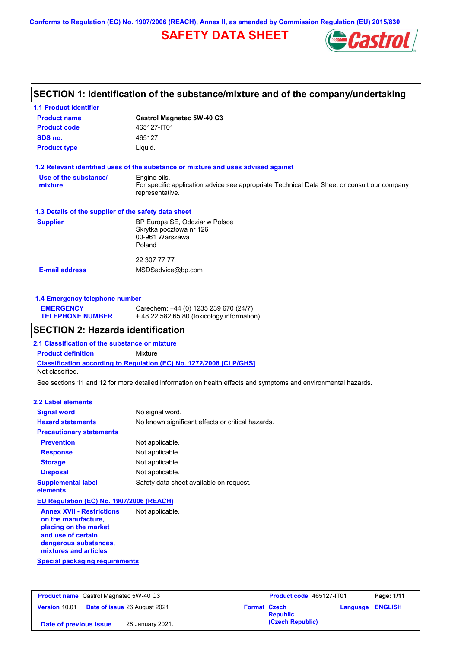**Conforms to Regulation (EC) No. 1907/2006 (REACH), Annex II, as amended by Commission Regulation (EU) 2015/830**

# **SAFETY DATA SHEET**



## **SECTION 1: Identification of the substance/mixture and of the company/undertaking**

| <b>1.1 Product identifier</b>                        |                                                                                                                |  |  |
|------------------------------------------------------|----------------------------------------------------------------------------------------------------------------|--|--|
| <b>Product name</b>                                  | <b>Castrol Magnatec 5W-40 C3</b>                                                                               |  |  |
| <b>Product code</b>                                  | 465127-IT01                                                                                                    |  |  |
| SDS no.                                              | 465127                                                                                                         |  |  |
| <b>Product type</b>                                  | Liquid.                                                                                                        |  |  |
|                                                      | 1.2 Relevant identified uses of the substance or mixture and uses advised against                              |  |  |
| Use of the substance/                                | Engine oils.                                                                                                   |  |  |
| mixture                                              | For specific application advice see appropriate Technical Data Sheet or consult our company<br>representative. |  |  |
| 1.3 Details of the supplier of the safety data sheet |                                                                                                                |  |  |
| <b>Supplier</b>                                      | BP Europa SE, Oddział w Polsce                                                                                 |  |  |
|                                                      | Skrytka pocztowa nr 126                                                                                        |  |  |
|                                                      | 00-961 Warszawa                                                                                                |  |  |
|                                                      | Poland                                                                                                         |  |  |
|                                                      | 22 307 77 77                                                                                                   |  |  |
|                                                      |                                                                                                                |  |  |

### **1.4 Emergency telephone number**

| <b>EMERGENCY</b>        | Carechem: +44 (0) 1235 239 670 (24/7)     |
|-------------------------|-------------------------------------------|
| <b>TELEPHONE NUMBER</b> | +48 22 582 65 80 (toxicology information) |

## **SECTION 2: Hazards identification**

**2.1 Classification of the substance or mixture**

**Classification according to Regulation (EC) No. 1272/2008 [CLP/GHS] Product definition** Mixture Not classified.

See sections 11 and 12 for more detailed information on health effects and symptoms and environmental hazards.

#### **2.2 Label elements**

| <b>Signal word</b>                                                                                                                                       | No signal word.                                   |
|----------------------------------------------------------------------------------------------------------------------------------------------------------|---------------------------------------------------|
| <b>Hazard statements</b>                                                                                                                                 | No known significant effects or critical hazards. |
| <b>Precautionary statements</b>                                                                                                                          |                                                   |
| <b>Prevention</b>                                                                                                                                        | Not applicable.                                   |
| <b>Response</b>                                                                                                                                          | Not applicable.                                   |
| <b>Storage</b>                                                                                                                                           | Not applicable.                                   |
| <b>Disposal</b>                                                                                                                                          | Not applicable.                                   |
| <b>Supplemental label</b><br>elements                                                                                                                    | Safety data sheet available on request.           |
| <b>EU Regulation (EC) No. 1907/2006 (REACH)</b>                                                                                                          |                                                   |
| <b>Annex XVII - Restrictions</b><br>on the manufacture,<br>placing on the market<br>and use of certain<br>dangerous substances,<br>mixtures and articles | Not applicable.                                   |
| Special packaging requirements                                                                                                                           |                                                   |

| <b>Product name</b> Castrol Magnatec 5W-40 C3 |                                     | Product code 465127-IT01 |                  | Page: 1/11              |  |
|-----------------------------------------------|-------------------------------------|--------------------------|------------------|-------------------------|--|
| Version 10.01                                 | <b>Date of issue 26 August 2021</b> | <b>Format Czech</b>      | <b>Republic</b>  | <b>Language ENGLISH</b> |  |
| Date of previous issue                        | 28 January 2021.                    |                          | (Czech Republic) |                         |  |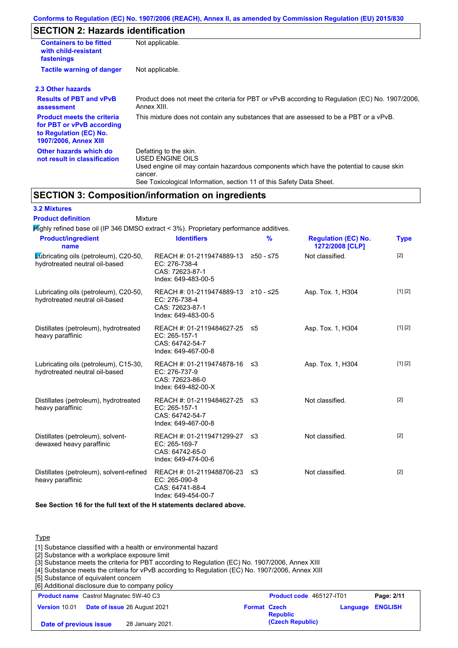# **SECTION 2: Hazards identification**

| <b>Containers to be fitted</b><br>with child-resistant<br>fastenings                                                     | Not applicable.                                                                                                                                                                                                          |  |  |  |
|--------------------------------------------------------------------------------------------------------------------------|--------------------------------------------------------------------------------------------------------------------------------------------------------------------------------------------------------------------------|--|--|--|
| <b>Tactile warning of danger</b>                                                                                         | Not applicable.                                                                                                                                                                                                          |  |  |  |
| 2.3 Other hazards                                                                                                        |                                                                                                                                                                                                                          |  |  |  |
| <b>Results of PBT and vPvB</b><br>assessment                                                                             | Product does not meet the criteria for PBT or vPvB according to Regulation (EC) No. 1907/2006,<br>Annex XIII.                                                                                                            |  |  |  |
| <b>Product meets the criteria</b><br>for PBT or vPvB according<br>to Regulation (EC) No.<br><b>1907/2006, Annex XIII</b> | This mixture does not contain any substances that are assessed to be a PBT or a vPvB.                                                                                                                                    |  |  |  |
| Other hazards which do<br>not result in classification                                                                   | Defatting to the skin.<br>USED ENGINE OILS<br>Used engine oil may contain hazardous components which have the potential to cause skin<br>cancer.<br>See Toxicological Information, section 11 of this Safety Data Sheet. |  |  |  |

## **SECTION 3: Composition/information on ingredients**

| <b>3.2 Mixtures</b>                                                                    |                                                                                                |               |                                               |                   |
|----------------------------------------------------------------------------------------|------------------------------------------------------------------------------------------------|---------------|-----------------------------------------------|-------------------|
| <b>Product definition</b><br>Mixture                                                   |                                                                                                |               |                                               |                   |
| Mighly refined base oil (IP 346 DMSO extract < 3%). Proprietary performance additives. |                                                                                                |               |                                               |                   |
| <b>Product/ingredient</b><br>name                                                      | <b>Identifiers</b>                                                                             | $\frac{9}{6}$ | <b>Regulation (EC) No.</b><br>1272/2008 [CLP] | <b>Type</b>       |
| Lubricating oils (petroleum), C20-50,<br>hydrotreated neutral oil-based                | REACH #: 01-2119474889-13 ≥50 - ≤75<br>EC: 276-738-4<br>CAS: 72623-87-1<br>Index: 649-483-00-5 |               | Not classified.                               | $[2]$             |
| Lubricating oils (petroleum), C20-50,<br>hydrotreated neutral oil-based                | REACH #: 01-2119474889-13 ≥10 - ≤25<br>EC: 276-738-4<br>CAS: 72623-87-1<br>Index: 649-483-00-5 |               | Asp. Tox. 1, H304                             | [1] [2]           |
| Distillates (petroleum), hydrotreated<br>heavy paraffinic                              | REACH #: 01-2119484627-25 ≤5<br>EC: 265-157-1<br>CAS: 64742-54-7<br>Index: 649-467-00-8        |               | Asp. Tox. 1, H304                             | [1] [2]           |
| Lubricating oils (petroleum), C15-30,<br>hydrotreated neutral oil-based                | REACH #: 01-2119474878-16 ≤3<br>EC: 276-737-9<br>CAS: 72623-86-0<br>Index: 649-482-00-X        |               | Asp. Tox. 1, H304                             | [1] [2]           |
| Distillates (petroleum), hydrotreated<br>heavy paraffinic                              | REACH #: 01-2119484627-25 ≤3<br>EC: 265-157-1<br>CAS: 64742-54-7<br>Index: 649-467-00-8        |               | Not classified.                               | $\lceil 2 \rceil$ |
| Distillates (petroleum), solvent-<br>dewaxed heavy paraffinic                          | REACH #: 01-2119471299-27<br>EC: 265-169-7<br>CAS: 64742-65-0<br>Index: 649-474-00-6           | ≤3            | Not classified.                               | $[2]$             |
| Distillates (petroleum), solvent-refined<br>heavy paraffinic                           | REACH #: 01-2119488706-23 ≤3<br>EC: 265-090-8<br>CAS: 64741-88-4<br>Index: 649-454-00-7        |               | Not classified.                               | $[2]$             |

#### **See Section 16 for the full text of the H statements declared above.**

Type

| [1] Substance classified with a health or environmental hazard<br>[2] Substance with a workplace exposure limit<br>[3] Substance meets the criteria for PBT according to Regulation (EC) No. 1907/2006, Annex XIII<br>[4] Substance meets the criteria for vPvB according to Regulation (EC) No. 1907/2006, Annex XIII<br>[5] Substance of equivalent concern<br>[6] Additional disclosure due to company policy |                     |                                 |          |                |
|------------------------------------------------------------------------------------------------------------------------------------------------------------------------------------------------------------------------------------------------------------------------------------------------------------------------------------------------------------------------------------------------------------------|---------------------|---------------------------------|----------|----------------|
| <b>Product name</b> Castrol Magnatec 5W-40 C3                                                                                                                                                                                                                                                                                                                                                                    |                     | <b>Product code</b> 465127-IT01 |          | Page: 2/11     |
| Version 10.01<br>Date of issue 26 August 2021                                                                                                                                                                                                                                                                                                                                                                    | <b>Format Czech</b> | <b>Republic</b>                 | Language | <b>ENGLISH</b> |
| 28 January 2021.<br>Date of previous issue                                                                                                                                                                                                                                                                                                                                                                       |                     | (Czech Republic)                |          |                |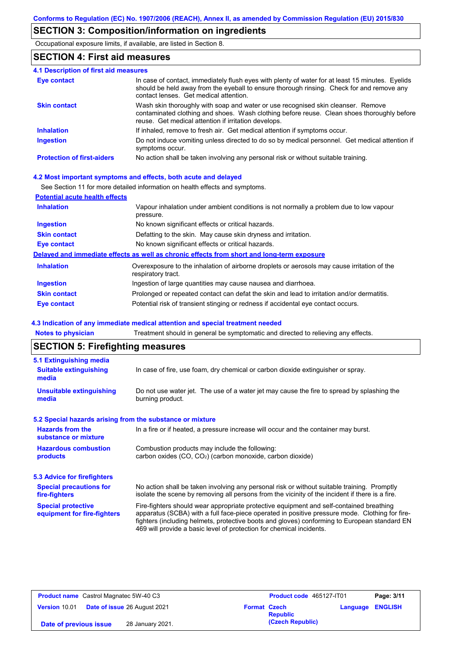# **SECTION 3: Composition/information on ingredients**

Occupational exposure limits, if available, are listed in Section 8.

### **SECTION 4: First aid measures**

| <b>4.1 Description of first aid measures</b> |                                                                                                                                                                                                                                         |
|----------------------------------------------|-----------------------------------------------------------------------------------------------------------------------------------------------------------------------------------------------------------------------------------------|
| Eye contact                                  | In case of contact, immediately flush eyes with plenty of water for at least 15 minutes. Eyelids<br>should be held away from the eyeball to ensure thorough rinsing. Check for and remove any<br>contact lenses. Get medical attention. |
| <b>Skin contact</b>                          | Wash skin thoroughly with soap and water or use recognised skin cleanser. Remove<br>contaminated clothing and shoes. Wash clothing before reuse. Clean shoes thoroughly before<br>reuse. Get medical attention if irritation develops.  |
| <b>Inhalation</b>                            | If inhaled, remove to fresh air. Get medical attention if symptoms occur.                                                                                                                                                               |
| <b>Ingestion</b>                             | Do not induce vomiting unless directed to do so by medical personnel. Get medical attention if<br>symptoms occur.                                                                                                                       |
| <b>Protection of first-aiders</b>            | No action shall be taken involving any personal risk or without suitable training.                                                                                                                                                      |

#### **4.2 Most important symptoms and effects, both acute and delayed**

See Section 11 for more detailed information on health effects and symptoms.

#### **Potential acute health effects**

| <b>Inhalation</b>   | Vapour inhalation under ambient conditions is not normally a problem due to low vapour<br>pressure.               |
|---------------------|-------------------------------------------------------------------------------------------------------------------|
| <b>Ingestion</b>    | No known significant effects or critical hazards.                                                                 |
| <b>Skin contact</b> | Defatting to the skin. May cause skin dryness and irritation.                                                     |
| Eye contact         | No known significant effects or critical hazards.                                                                 |
|                     | Delayed and immediate effects as well as chronic effects from short and long-term exposure                        |
| <b>Inhalation</b>   | Overexposure to the inhalation of airborne droplets or aerosols may cause irritation of the<br>respiratory tract. |
| <b>Ingestion</b>    | Ingestion of large quantities may cause nausea and diarrhoea.                                                     |
| <b>Skin contact</b> | Prolonged or repeated contact can defat the skin and lead to irritation and/or dermatitis.                        |
| Eye contact         | Potential risk of transient stinging or redness if accidental eye contact occurs.                                 |

#### **4.3 Indication of any immediate medical attention and special treatment needed**

**Notes to physician** Treatment should in general be symptomatic and directed to relieving any effects.

## **SECTION 5: Firefighting measures**

| 5.1 Extinguishing media                                                                                                                                                                                                                           |                                                                                                                                                                                                                                                                                                                                                                   |  |
|---------------------------------------------------------------------------------------------------------------------------------------------------------------------------------------------------------------------------------------------------|-------------------------------------------------------------------------------------------------------------------------------------------------------------------------------------------------------------------------------------------------------------------------------------------------------------------------------------------------------------------|--|
| <b>Suitable extinguishing</b><br>media                                                                                                                                                                                                            | In case of fire, use foam, dry chemical or carbon dioxide extinguisher or spray.                                                                                                                                                                                                                                                                                  |  |
| <b>Unsuitable extinguishing</b><br>media                                                                                                                                                                                                          | Do not use water jet. The use of a water jet may cause the fire to spread by splashing the<br>burning product.                                                                                                                                                                                                                                                    |  |
| 5.2 Special hazards arising from the substance or mixture                                                                                                                                                                                         |                                                                                                                                                                                                                                                                                                                                                                   |  |
| <b>Hazards from the</b><br>In a fire or if heated, a pressure increase will occur and the container may burst.<br>substance or mixture                                                                                                            |                                                                                                                                                                                                                                                                                                                                                                   |  |
| <b>Hazardous combustion</b><br>products                                                                                                                                                                                                           | Combustion products may include the following:<br>carbon oxides (CO, CO <sub>2</sub> ) (carbon monoxide, carbon dioxide)                                                                                                                                                                                                                                          |  |
| 5.3 Advice for firefighters                                                                                                                                                                                                                       |                                                                                                                                                                                                                                                                                                                                                                   |  |
| No action shall be taken involving any personal risk or without suitable training. Promptly<br><b>Special precautions for</b><br>isolate the scene by removing all persons from the vicinity of the incident if there is a fire.<br>fire-fighters |                                                                                                                                                                                                                                                                                                                                                                   |  |
| <b>Special protective</b><br>equipment for fire-fighters                                                                                                                                                                                          | Fire-fighters should wear appropriate protective equipment and self-contained breathing<br>apparatus (SCBA) with a full face-piece operated in positive pressure mode. Clothing for fire-<br>fighters (including helmets, protective boots and gloves) conforming to European standard EN<br>469 will provide a basic level of protection for chemical incidents. |  |

| <b>Product name</b> Castrol Magnatec 5W-40 C3 |                                     | Product code 465127-IT01 |                  | Page: 3/11              |  |
|-----------------------------------------------|-------------------------------------|--------------------------|------------------|-------------------------|--|
| Version 10.01                                 | <b>Date of issue 26 August 2021</b> | <b>Format Czech</b>      | <b>Republic</b>  | <b>Language ENGLISH</b> |  |
| Date of previous issue                        | 28 January 2021.                    |                          | (Czech Republic) |                         |  |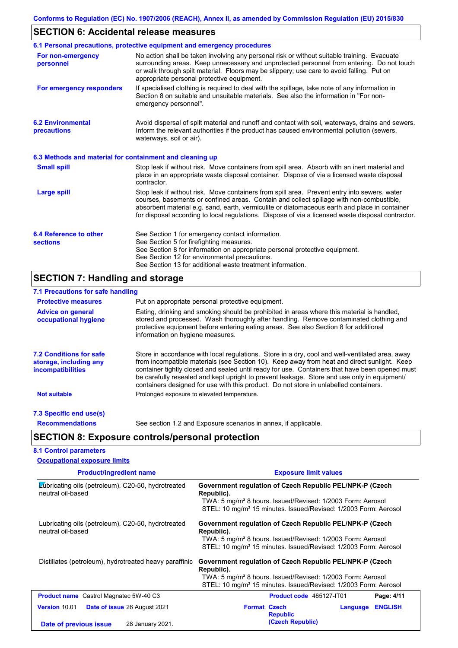# **SECTION 6: Accidental release measures**

|                                                          | 6.1 Personal precautions, protective equipment and emergency procedures                                                                                                                                                                                                                                                                                                                        |
|----------------------------------------------------------|------------------------------------------------------------------------------------------------------------------------------------------------------------------------------------------------------------------------------------------------------------------------------------------------------------------------------------------------------------------------------------------------|
| For non-emergency<br>personnel                           | No action shall be taken involving any personal risk or without suitable training. Evacuate<br>surrounding areas. Keep unnecessary and unprotected personnel from entering. Do not touch<br>or walk through spilt material. Floors may be slippery; use care to avoid falling. Put on<br>appropriate personal protective equipment.                                                            |
| For emergency responders                                 | If specialised clothing is required to deal with the spillage, take note of any information in<br>Section 8 on suitable and unsuitable materials. See also the information in "For non-<br>emergency personnel".                                                                                                                                                                               |
| <b>6.2 Environmental</b><br>precautions                  | Avoid dispersal of spilt material and runoff and contact with soil, waterways, drains and sewers.<br>Inform the relevant authorities if the product has caused environmental pollution (sewers,<br>waterways, soil or air).                                                                                                                                                                    |
| 6.3 Methods and material for containment and cleaning up |                                                                                                                                                                                                                                                                                                                                                                                                |
| <b>Small spill</b>                                       | Stop leak if without risk. Move containers from spill area. Absorb with an inert material and<br>place in an appropriate waste disposal container. Dispose of via a licensed waste disposal<br>contractor.                                                                                                                                                                                     |
| <b>Large spill</b>                                       | Stop leak if without risk. Move containers from spill area. Prevent entry into sewers, water<br>courses, basements or confined areas. Contain and collect spillage with non-combustible,<br>absorbent material e.g. sand, earth, vermiculite or diatomaceous earth and place in container<br>for disposal according to local regulations. Dispose of via a licensed waste disposal contractor. |
| 6.4 Reference to other<br><b>sections</b>                | See Section 1 for emergency contact information.<br>See Section 5 for firefighting measures.<br>See Section 8 for information on appropriate personal protective equipment.<br>See Section 12 for environmental precautions.<br>See Section 13 for additional waste treatment information.                                                                                                     |

# **SECTION 7: Handling and storage**

| 7.1 Precautions for safe handling                                                    |                                                                                                                                                                                                                                                                                                                                                                                                                                                                                          |
|--------------------------------------------------------------------------------------|------------------------------------------------------------------------------------------------------------------------------------------------------------------------------------------------------------------------------------------------------------------------------------------------------------------------------------------------------------------------------------------------------------------------------------------------------------------------------------------|
| <b>Protective measures</b>                                                           | Put on appropriate personal protective equipment.                                                                                                                                                                                                                                                                                                                                                                                                                                        |
| <b>Advice on general</b><br>occupational hygiene                                     | Eating, drinking and smoking should be prohibited in areas where this material is handled,<br>stored and processed. Wash thoroughly after handling. Remove contaminated clothing and<br>protective equipment before entering eating areas. See also Section 8 for additional<br>information on hygiene measures.                                                                                                                                                                         |
| <b>7.2 Conditions for safe</b><br>storage, including any<br><i>incompatibilities</i> | Store in accordance with local regulations. Store in a dry, cool and well-ventilated area, away<br>from incompatible materials (see Section 10). Keep away from heat and direct sunlight. Keep<br>container tightly closed and sealed until ready for use. Containers that have been opened must<br>be carefully resealed and kept upright to prevent leakage. Store and use only in equipment/<br>containers designed for use with this product. Do not store in unlabelled containers. |
| <b>Not suitable</b>                                                                  | Prolonged exposure to elevated temperature.                                                                                                                                                                                                                                                                                                                                                                                                                                              |
| 7.3 Specific end use(s)                                                              |                                                                                                                                                                                                                                                                                                                                                                                                                                                                                          |
| <b>Recommendations</b>                                                               | See section 1.2 and Exposure scenarios in annex, if applicable.                                                                                                                                                                                                                                                                                                                                                                                                                          |
|                                                                                      | <b>SECTION 8: Exposure controls/personal protection</b>                                                                                                                                                                                                                                                                                                                                                                                                                                  |
| <b>8.1 Control parameters</b>                                                        |                                                                                                                                                                                                                                                                                                                                                                                                                                                                                          |
| <b>Occupational exposure limits</b>                                                  |                                                                                                                                                                                                                                                                                                                                                                                                                                                                                          |

| <b>Product/ingredient name</b>                                          | <b>Exposure limit values</b>                                                                                                                                                                                                    |  |  |
|-------------------------------------------------------------------------|---------------------------------------------------------------------------------------------------------------------------------------------------------------------------------------------------------------------------------|--|--|
| Lubricating oils (petroleum), C20-50, hydrotreated<br>neutral oil-based | Government regulation of Czech Republic PEL/NPK-P (Czech<br>Republic).<br>TWA: 5 mg/m <sup>3</sup> 8 hours. Issued/Revised: 1/2003 Form: Aerosol<br>STEL: 10 mg/m <sup>3</sup> 15 minutes. Issued/Revised: 1/2003 Form: Aerosol |  |  |
| Lubricating oils (petroleum), C20-50, hydrotreated<br>neutral oil-based | Government regulation of Czech Republic PEL/NPK-P (Czech<br>Republic).<br>TWA: 5 mg/m <sup>3</sup> 8 hours. Issued/Revised: 1/2003 Form: Aerosol<br>STEL: 10 mg/m <sup>3</sup> 15 minutes. Issued/Revised: 1/2003 Form: Aerosol |  |  |
| Distillates (petroleum), hydrotreated heavy paraffinic                  | Government regulation of Czech Republic PEL/NPK-P (Czech<br>Republic).<br>TWA: 5 mg/m <sup>3</sup> 8 hours. Issued/Revised: 1/2003 Form: Aerosol<br>STEL: 10 mg/m <sup>3</sup> 15 minutes. Issued/Revised: 1/2003 Form: Aerosol |  |  |
| <b>Product name</b> Castrol Magnatec 5W-40 C3                           | Page: 4/11<br><b>Product code</b> 465127-IT01                                                                                                                                                                                   |  |  |
| <b>Version</b> 10.01<br><b>Date of issue 26 August 2021</b>             | <b>Format Czech</b><br><b>ENGLISH</b><br>Language<br><b>Republic</b>                                                                                                                                                            |  |  |
| Date of previous issue<br>28 January 2021.                              | (Czech Republic)                                                                                                                                                                                                                |  |  |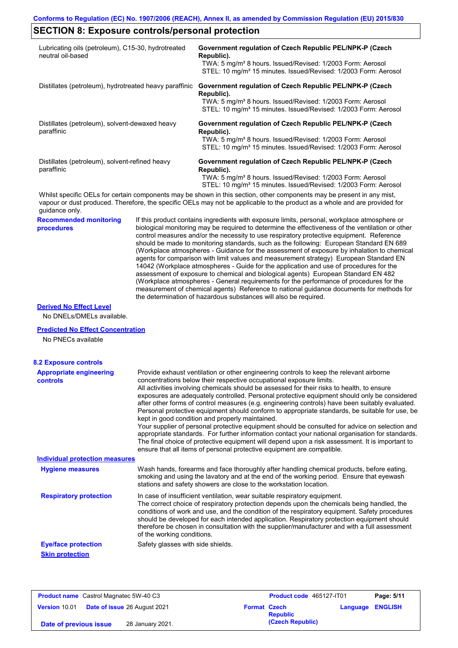# **SECTION 8: Exposure controls/personal protection**

| Lubricating oils (petroleum), C15-30, hydrotreated<br>neutral oil-based |                                   | Government regulation of Czech Republic PEL/NPK-P (Czech<br>Republic).<br>TWA: 5 mg/m <sup>3</sup> 8 hours. Issued/Revised: 1/2003 Form: Aerosol<br>STEL: 10 mg/m <sup>3</sup> 15 minutes. Issued/Revised: 1/2003 Form: Aerosol                                                                                                                                                                                                                                                                                                                                                                                                                                                                                                                                                                                                                                                                                                                                                                                            |
|-------------------------------------------------------------------------|-----------------------------------|----------------------------------------------------------------------------------------------------------------------------------------------------------------------------------------------------------------------------------------------------------------------------------------------------------------------------------------------------------------------------------------------------------------------------------------------------------------------------------------------------------------------------------------------------------------------------------------------------------------------------------------------------------------------------------------------------------------------------------------------------------------------------------------------------------------------------------------------------------------------------------------------------------------------------------------------------------------------------------------------------------------------------|
| Distillates (petroleum), hydrotreated heavy paraffinic                  |                                   | Government regulation of Czech Republic PEL/NPK-P (Czech<br>Republic).<br>TWA: 5 mg/m <sup>3</sup> 8 hours. Issued/Revised: 1/2003 Form: Aerosol<br>STEL: 10 mg/m <sup>3</sup> 15 minutes. Issued/Revised: 1/2003 Form: Aerosol                                                                                                                                                                                                                                                                                                                                                                                                                                                                                                                                                                                                                                                                                                                                                                                            |
| Distillates (petroleum), solvent-dewaxed heavy<br>paraffinic            |                                   | Government regulation of Czech Republic PEL/NPK-P (Czech<br>Republic).<br>TWA: 5 mg/m <sup>3</sup> 8 hours. Issued/Revised: 1/2003 Form: Aerosol<br>STEL: 10 mg/m <sup>3</sup> 15 minutes. Issued/Revised: 1/2003 Form: Aerosol                                                                                                                                                                                                                                                                                                                                                                                                                                                                                                                                                                                                                                                                                                                                                                                            |
| Distillates (petroleum), solvent-refined heavy<br>paraffinic            |                                   | Government regulation of Czech Republic PEL/NPK-P (Czech<br>Republic).<br>TWA: 5 mg/m <sup>3</sup> 8 hours. Issued/Revised: 1/2003 Form: Aerosol<br>STEL: 10 mg/m <sup>3</sup> 15 minutes. Issued/Revised: 1/2003 Form: Aerosol                                                                                                                                                                                                                                                                                                                                                                                                                                                                                                                                                                                                                                                                                                                                                                                            |
| guidance only.                                                          |                                   | Whilst specific OELs for certain components may be shown in this section, other components may be present in any mist,<br>vapour or dust produced. Therefore, the specific OELs may not be applicable to the product as a whole and are provided for                                                                                                                                                                                                                                                                                                                                                                                                                                                                                                                                                                                                                                                                                                                                                                       |
| <b>Recommended monitoring</b><br>procedures                             |                                   | If this product contains ingredients with exposure limits, personal, workplace atmosphere or<br>biological monitoring may be required to determine the effectiveness of the ventilation or other<br>control measures and/or the necessity to use respiratory protective equipment. Reference<br>should be made to monitoring standards, such as the following: European Standard EN 689<br>(Workplace atmospheres - Guidance for the assessment of exposure by inhalation to chemical<br>agents for comparison with limit values and measurement strategy) European Standard EN<br>14042 (Workplace atmospheres - Guide for the application and use of procedures for the<br>assessment of exposure to chemical and biological agents) European Standard EN 482<br>(Workplace atmospheres - General requirements for the performance of procedures for the<br>measurement of chemical agents) Reference to national guidance documents for methods for<br>the determination of hazardous substances will also be required. |
| <b>Derived No Effect Level</b><br>No DNELs/DMELs available.             |                                   |                                                                                                                                                                                                                                                                                                                                                                                                                                                                                                                                                                                                                                                                                                                                                                                                                                                                                                                                                                                                                            |
| <b>Predicted No Effect Concentration</b><br>No PNECs available          |                                   |                                                                                                                                                                                                                                                                                                                                                                                                                                                                                                                                                                                                                                                                                                                                                                                                                                                                                                                                                                                                                            |
| <b>8.2 Exposure controls</b>                                            |                                   |                                                                                                                                                                                                                                                                                                                                                                                                                                                                                                                                                                                                                                                                                                                                                                                                                                                                                                                                                                                                                            |
| <b>Appropriate engineering</b><br>controls                              |                                   | Provide exhaust ventilation or other engineering controls to keep the relevant airborne<br>concentrations below their respective occupational exposure limits.<br>All activities involving chemicals should be assessed for their risks to health, to ensure<br>exposures are adequately controlled. Personal protective equipment should only be considered<br>after other forms of control measures (e.g. engineering controls) have been suitably evaluated.<br>Personal protective equipment should conform to appropriate standards, be suitable for use, be<br>kept in good condition and properly maintained.<br>Your supplier of personal protective equipment should be consulted for advice on selection and<br>appropriate standards. For further information contact your national organisation for standards.<br>The final choice of protective equipment will depend upon a risk assessment. It is important to<br>ensure that all items of personal protective equipment are compatible.                    |
| <b>Individual protection measures</b>                                   |                                   |                                                                                                                                                                                                                                                                                                                                                                                                                                                                                                                                                                                                                                                                                                                                                                                                                                                                                                                                                                                                                            |
| <b>Hygiene measures</b>                                                 |                                   | Wash hands, forearms and face thoroughly after handling chemical products, before eating,<br>smoking and using the lavatory and at the end of the working period. Ensure that eyewash<br>stations and safety showers are close to the workstation location.                                                                                                                                                                                                                                                                                                                                                                                                                                                                                                                                                                                                                                                                                                                                                                |
| <b>Respiratory protection</b>                                           | of the working conditions.        | In case of insufficient ventilation, wear suitable respiratory equipment.<br>The correct choice of respiratory protection depends upon the chemicals being handled, the<br>conditions of work and use, and the condition of the respiratory equipment. Safety procedures<br>should be developed for each intended application. Respiratory protection equipment should<br>therefore be chosen in consultation with the supplier/manufacturer and with a full assessment                                                                                                                                                                                                                                                                                                                                                                                                                                                                                                                                                    |
| <b>Eye/face protection</b><br><b>Skin protection</b>                    | Safety glasses with side shields. |                                                                                                                                                                                                                                                                                                                                                                                                                                                                                                                                                                                                                                                                                                                                                                                                                                                                                                                                                                                                                            |

| <b>Product name</b> Castrol Magnatec 5W-40 C3 |                                     | Product code 465127-IT01 |                  | Page: 5/11              |  |
|-----------------------------------------------|-------------------------------------|--------------------------|------------------|-------------------------|--|
| Version 10.01                                 | <b>Date of issue 26 August 2021</b> | <b>Format Czech</b>      | <b>Republic</b>  | <b>Language ENGLISH</b> |  |
| Date of previous issue                        | 28 January 2021.                    |                          | (Czech Republic) |                         |  |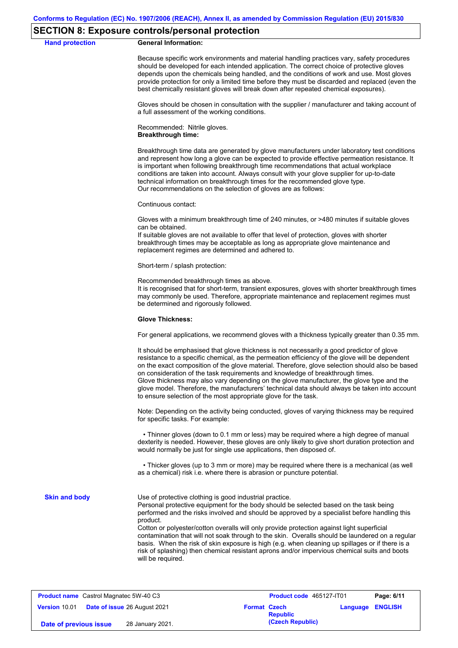#### **SECTION 8: Exposure controls/personal protection**

**Hand protection** 

|  | <b>General Information:</b> |
|--|-----------------------------|
|--|-----------------------------|

Because specific work environments and material handling practices vary, safety procedures should be developed for each intended application. The correct choice of protective gloves depends upon the chemicals being handled, and the conditions of work and use. Most gloves provide protection for only a limited time before they must be discarded and replaced (even the best chemically resistant gloves will break down after repeated chemical exposures).

Gloves should be chosen in consultation with the supplier / manufacturer and taking account of a full assessment of the working conditions.

Recommended: Nitrile gloves. **Breakthrough time:**

Breakthrough time data are generated by glove manufacturers under laboratory test conditions and represent how long a glove can be expected to provide effective permeation resistance. It is important when following breakthrough time recommendations that actual workplace conditions are taken into account. Always consult with your glove supplier for up-to-date technical information on breakthrough times for the recommended glove type. Our recommendations on the selection of gloves are as follows:

Continuous contact:

Gloves with a minimum breakthrough time of 240 minutes, or >480 minutes if suitable gloves can be obtained.

If suitable gloves are not available to offer that level of protection, gloves with shorter breakthrough times may be acceptable as long as appropriate glove maintenance and replacement regimes are determined and adhered to.

Short-term / splash protection:

Recommended breakthrough times as above.

It is recognised that for short-term, transient exposures, gloves with shorter breakthrough times may commonly be used. Therefore, appropriate maintenance and replacement regimes must be determined and rigorously followed.

#### **Glove Thickness:**

For general applications, we recommend gloves with a thickness typically greater than 0.35 mm.

It should be emphasised that glove thickness is not necessarily a good predictor of glove resistance to a specific chemical, as the permeation efficiency of the glove will be dependent on the exact composition of the glove material. Therefore, glove selection should also be based on consideration of the task requirements and knowledge of breakthrough times. Glove thickness may also vary depending on the glove manufacturer, the glove type and the glove model. Therefore, the manufacturers' technical data should always be taken into account to ensure selection of the most appropriate glove for the task.

Note: Depending on the activity being conducted, gloves of varying thickness may be required for specific tasks. For example:

 • Thinner gloves (down to 0.1 mm or less) may be required where a high degree of manual dexterity is needed. However, these gloves are only likely to give short duration protection and would normally be just for single use applications, then disposed of.

 • Thicker gloves (up to 3 mm or more) may be required where there is a mechanical (as well as a chemical) risk i.e. where there is abrasion or puncture potential.

**Skin and body**

Use of protective clothing is good industrial practice.

Personal protective equipment for the body should be selected based on the task being performed and the risks involved and should be approved by a specialist before handling this product.

Cotton or polyester/cotton overalls will only provide protection against light superficial contamination that will not soak through to the skin. Overalls should be laundered on a regular basis. When the risk of skin exposure is high (e.g. when cleaning up spillages or if there is a risk of splashing) then chemical resistant aprons and/or impervious chemical suits and boots will be required.

| <b>Product name</b> Castrol Magnatec 5W-40 C3 |  | <b>Product code</b> 465127-IT01     |                     | Page: 6/11      |                         |  |
|-----------------------------------------------|--|-------------------------------------|---------------------|-----------------|-------------------------|--|
| Version 10.01                                 |  | <b>Date of issue 26 August 2021</b> | <b>Format Czech</b> | <b>Republic</b> | <b>Language ENGLISH</b> |  |
| 28 January 2021.<br>Date of previous issue    |  |                                     | (Czech Republic)    |                 |                         |  |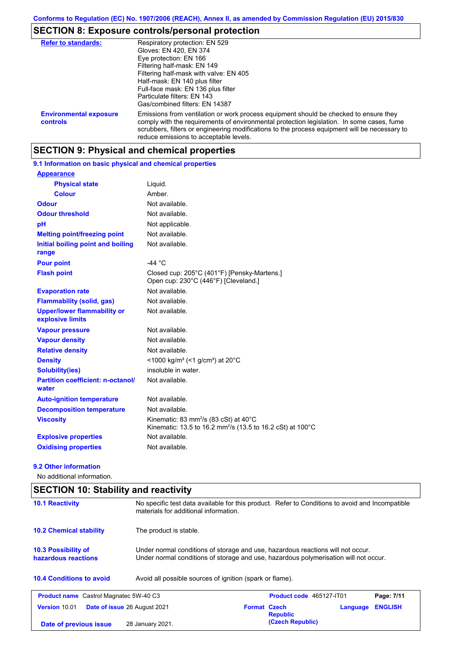# **SECTION 8: Exposure controls/personal protection**

| <b>Refer to standards:</b>                | Respiratory protection: EN 529<br>Gloves: EN 420, EN 374<br>Eye protection: EN 166<br>Filtering half-mask: EN 149<br>Filtering half-mask with valve: EN 405<br>Half-mask: EN 140 plus filter<br>Full-face mask: EN 136 plus filter<br>Particulate filters: EN 143<br>Gas/combined filters: EN 14387                           |
|-------------------------------------------|-------------------------------------------------------------------------------------------------------------------------------------------------------------------------------------------------------------------------------------------------------------------------------------------------------------------------------|
| <b>Environmental exposure</b><br>controls | Emissions from ventilation or work process equipment should be checked to ensure they<br>comply with the requirements of environmental protection legislation. In some cases, fume<br>scrubbers, filters or engineering modifications to the process equipment will be necessary to<br>reduce emissions to acceptable levels. |

# **SECTION 9: Physical and chemical properties**

|  | 9.1 Information on basic physical and chemical properties |  |  |  |  |  |
|--|-----------------------------------------------------------|--|--|--|--|--|
|--|-----------------------------------------------------------|--|--|--|--|--|

| <b>Appearance</b>                                      |                                                                                                                                        |
|--------------------------------------------------------|----------------------------------------------------------------------------------------------------------------------------------------|
| <b>Physical state</b>                                  | Liquid.                                                                                                                                |
| <b>Colour</b>                                          | Amber.                                                                                                                                 |
| <b>Odour</b>                                           | Not available.                                                                                                                         |
| <b>Odour threshold</b>                                 | Not available.                                                                                                                         |
| pH                                                     | Not applicable.                                                                                                                        |
| <b>Melting point/freezing point</b>                    | Not available.                                                                                                                         |
| Initial boiling point and boiling<br>range             | Not available.                                                                                                                         |
| <b>Pour point</b>                                      | -44 $^{\circ}$ C                                                                                                                       |
| <b>Flash point</b>                                     | Closed cup: 205°C (401°F) [Pensky-Martens.]<br>Open cup: 230°C (446°F) [Cleveland.]                                                    |
| <b>Evaporation rate</b>                                | Not available.                                                                                                                         |
| <b>Flammability (solid, gas)</b>                       | Not available.                                                                                                                         |
| <b>Upper/lower flammability or</b><br>explosive limits | Not available.                                                                                                                         |
| <b>Vapour pressure</b>                                 | Not available.                                                                                                                         |
| <b>Vapour density</b>                                  | Not available.                                                                                                                         |
| <b>Relative density</b>                                | Not available.                                                                                                                         |
| <b>Density</b>                                         | <1000 kg/m <sup>3</sup> (<1 g/cm <sup>3</sup> ) at 20°C                                                                                |
| <b>Solubility(ies)</b>                                 | insoluble in water.                                                                                                                    |
| <b>Partition coefficient: n-octanol/</b><br>water      | Not available.                                                                                                                         |
| <b>Auto-ignition temperature</b>                       | Not available.                                                                                                                         |
| <b>Decomposition temperature</b>                       | Not available.                                                                                                                         |
| <b>Viscosity</b>                                       | Kinematic: 83 mm <sup>2</sup> /s (83 cSt) at $40^{\circ}$ C<br>Kinematic: 13.5 to 16.2 mm <sup>2</sup> /s (13.5 to 16.2 cSt) at 100 °C |
| <b>Explosive properties</b>                            | Not available.                                                                                                                         |
| <b>Oxidising properties</b>                            | Not available.                                                                                                                         |

#### **9.2 Other information**

No additional information.

# **SECTION 10: Stability and reactivity**

| <b>10.1 Reactivity</b>                            | No specific test data available for this product. Refer to Conditions to avoid and Incompatible<br>materials for additional information.                                |                     |                                 |          |                |
|---------------------------------------------------|-------------------------------------------------------------------------------------------------------------------------------------------------------------------------|---------------------|---------------------------------|----------|----------------|
| <b>10.2 Chemical stability</b>                    | The product is stable.                                                                                                                                                  |                     |                                 |          |                |
| <b>10.3 Possibility of</b><br>hazardous reactions | Under normal conditions of storage and use, hazardous reactions will not occur.<br>Under normal conditions of storage and use, hazardous polymerisation will not occur. |                     |                                 |          |                |
| <b>10.4 Conditions to avoid</b>                   | Avoid all possible sources of ignition (spark or flame).                                                                                                                |                     |                                 |          |                |
| <b>Product name</b> Castrol Magnatec 5W-40 C3     |                                                                                                                                                                         |                     | <b>Product code</b> 465127-IT01 |          | Page: 7/11     |
| <b>Version 10.01</b>                              | <b>Date of issue 26 August 2021</b>                                                                                                                                     | <b>Format Czech</b> | <b>Republic</b>                 | Language | <b>ENGLISH</b> |
| Date of previous issue                            | 28 January 2021.                                                                                                                                                        |                     | (Czech Republic)                |          |                |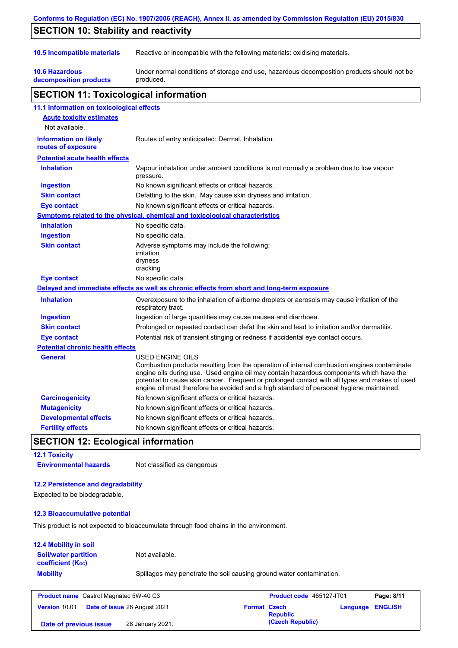|                                                    | Conforms to Regulation (EC) No. 1907/2006 (REACH), Annex II, as amended by Commission Regulation (EU) 2015/830                                                                                                                                                                                                                                                                                           |
|----------------------------------------------------|----------------------------------------------------------------------------------------------------------------------------------------------------------------------------------------------------------------------------------------------------------------------------------------------------------------------------------------------------------------------------------------------------------|
| <b>SECTION 10: Stability and reactivity</b>        |                                                                                                                                                                                                                                                                                                                                                                                                          |
| 10.5 Incompatible materials                        | Reactive or incompatible with the following materials: oxidising materials.                                                                                                                                                                                                                                                                                                                              |
| <b>10.6 Hazardous</b><br>decomposition products    | Under normal conditions of storage and use, hazardous decomposition products should not be<br>produced.                                                                                                                                                                                                                                                                                                  |
| <b>SECTION 11: Toxicological information</b>       |                                                                                                                                                                                                                                                                                                                                                                                                          |
| 11.1 Information on toxicological effects          |                                                                                                                                                                                                                                                                                                                                                                                                          |
| <b>Acute toxicity estimates</b><br>Not available.  |                                                                                                                                                                                                                                                                                                                                                                                                          |
| <b>Information on likely</b><br>routes of exposure | Routes of entry anticipated: Dermal, Inhalation.                                                                                                                                                                                                                                                                                                                                                         |
| <b>Potential acute health effects</b>              |                                                                                                                                                                                                                                                                                                                                                                                                          |
| <b>Inhalation</b>                                  | Vapour inhalation under ambient conditions is not normally a problem due to low vapour<br>pressure.                                                                                                                                                                                                                                                                                                      |
| <b>Ingestion</b>                                   | No known significant effects or critical hazards.                                                                                                                                                                                                                                                                                                                                                        |
| <b>Skin contact</b>                                | Defatting to the skin. May cause skin dryness and irritation.                                                                                                                                                                                                                                                                                                                                            |
| <b>Eye contact</b>                                 | No known significant effects or critical hazards.                                                                                                                                                                                                                                                                                                                                                        |
|                                                    | Symptoms related to the physical, chemical and toxicological characteristics                                                                                                                                                                                                                                                                                                                             |
| <b>Inhalation</b>                                  | No specific data.                                                                                                                                                                                                                                                                                                                                                                                        |
| <b>Ingestion</b>                                   | No specific data.                                                                                                                                                                                                                                                                                                                                                                                        |
| <b>Skin contact</b>                                | Adverse symptoms may include the following:<br>irritation<br>dryness<br>cracking                                                                                                                                                                                                                                                                                                                         |
| <b>Eye contact</b>                                 | No specific data.                                                                                                                                                                                                                                                                                                                                                                                        |
|                                                    | Delayed and immediate effects as well as chronic effects from short and long-term exposure                                                                                                                                                                                                                                                                                                               |
| <b>Inhalation</b>                                  | Overexposure to the inhalation of airborne droplets or aerosols may cause irritation of the<br>respiratory tract.                                                                                                                                                                                                                                                                                        |
| <b>Ingestion</b>                                   | Ingestion of large quantities may cause nausea and diarrhoea.                                                                                                                                                                                                                                                                                                                                            |
| <b>Skin contact</b>                                | Prolonged or repeated contact can defat the skin and lead to irritation and/or dermatitis.                                                                                                                                                                                                                                                                                                               |
| <b>Eye contact</b>                                 | Potential risk of transient stinging or redness if accidental eye contact occurs.                                                                                                                                                                                                                                                                                                                        |
| <b>Potential chronic health effects</b>            |                                                                                                                                                                                                                                                                                                                                                                                                          |
| General                                            | USED ENGINE OILS<br>Combustion products resulting from the operation of internal combustion engines contaminate<br>engine oils during use. Used engine oil may contain hazardous components which have the<br>potential to cause skin cancer. Frequent or prolonged contact with all types and makes of used<br>engine oil must therefore be avoided and a high standard of personal hygiene maintained. |
| <b>Carcinogenicity</b>                             | No known significant effects or critical hazards.                                                                                                                                                                                                                                                                                                                                                        |
| <b>Mutagenicity</b>                                | No known significant effects or critical hazards.                                                                                                                                                                                                                                                                                                                                                        |
| <b>Developmental effects</b>                       | No known significant effects or critical hazards.                                                                                                                                                                                                                                                                                                                                                        |
| <b>Fertility effects</b>                           | No known significant effects or critical hazards.                                                                                                                                                                                                                                                                                                                                                        |

## **SECTION 12: Ecological information**

**12.1 Toxicity Environmental hazards** Not classified as dangerous

## **12.2 Persistence and degradability**

Expected to be biodegradable.

#### **12.3 Bioaccumulative potential**

This product is not expected to bioaccumulate through food chains in the environment.

### **Mobility** Spillages may penetrate the soil causing ground water contamination. **12.4 Mobility in soil Soil/water partition coefficient (KOC)** Not available.

| <b>Product name</b> Castrol Magnatec 5W-40 C3 |                                     | Product code 465127-IT01 |                  | Page: 8/11              |  |
|-----------------------------------------------|-------------------------------------|--------------------------|------------------|-------------------------|--|
| Version 10.01                                 | <b>Date of issue 26 August 2021</b> | <b>Format Czech</b>      | <b>Republic</b>  | <b>Language ENGLISH</b> |  |
| Date of previous issue                        | 28 January 2021.                    |                          | (Czech Republic) |                         |  |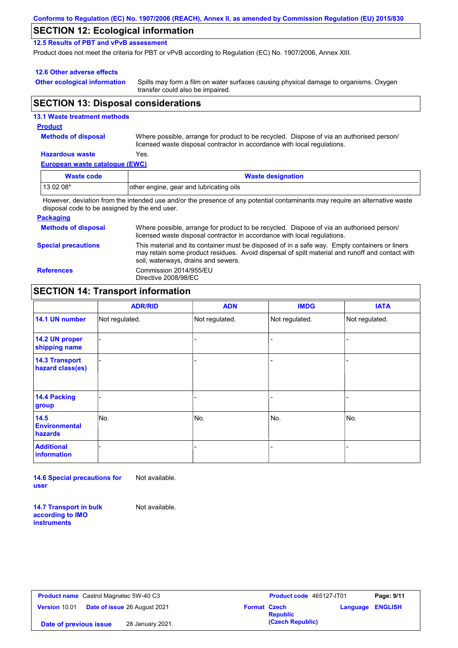| Conforms to Regulation (EC) No. 1907/2006 (REACH), Annex II, as amended by Commission Regulation (EU) 2015/830 |  |
|----------------------------------------------------------------------------------------------------------------|--|
|----------------------------------------------------------------------------------------------------------------|--|

## **SECTION 12: Ecological information**

**12.5 Results of PBT and vPvB assessment**

Product does not meet the criteria for PBT or vPvB according to Regulation (EC) No. 1907/2006, Annex XIII.

#### **12.6 Other adverse effects**

**Other ecological information**

Spills may form a film on water surfaces causing physical damage to organisms. Oxygen transfer could also be impaired.

### **SECTION 13: Disposal considerations**

#### **European waste catalogue (EWC) Hazardous waste** Yes. Where possible, arrange for product to be recycled. Dispose of via an authorised person/ licensed waste disposal contractor in accordance with local regulations. **Methods of disposal 13.1 Waste treatment methods Product Waste code Waste designation** 13 02 08\* other engine, gear and lubricating oils

However, deviation from the intended use and/or the presence of any potential contaminants may require an alternative waste disposal code to be assigned by the end user.

#### **Packaging**

| <b>Methods of disposal</b> | Where possible, arrange for product to be recycled. Dispose of via an authorised person/<br>licensed waste disposal contractor in accordance with local regulations.                                                                    |
|----------------------------|-----------------------------------------------------------------------------------------------------------------------------------------------------------------------------------------------------------------------------------------|
| <b>Special precautions</b> | This material and its container must be disposed of in a safe way. Empty containers or liners<br>may retain some product residues. Avoid dispersal of spilt material and runoff and contact with<br>soil, waterways, drains and sewers. |
| <b>References</b>          | Commission 2014/955/EU<br>Directive 2008/98/EC                                                                                                                                                                                          |

## **SECTION 14: Transport information**

|                                           | <b>ADR/RID</b> | <b>ADN</b>     | <b>IMDG</b>    | <b>IATA</b>    |
|-------------------------------------------|----------------|----------------|----------------|----------------|
| 14.1 UN number                            | Not regulated. | Not regulated. | Not regulated. | Not regulated. |
| 14.2 UN proper<br>shipping name           |                |                | -              |                |
| <b>14.3 Transport</b><br>hazard class(es) |                |                | -              |                |
| 14.4 Packing<br>group                     |                |                |                |                |
| 14.5<br><b>Environmental</b><br>hazards   | No.            | No.            | No.            | No.            |
| <b>Additional</b><br><b>information</b>   |                |                |                |                |

**14.6 Special precautions for user** Not available.

**14.7 Transport in bulk according to IMO instruments**

Not available.

**Product name** Castrol Magnatec 5W-40 C3 **Product code** 465127-IT01 **Page: 9/11 Version** 10.01 **Date of issue** 26 August 2021 **Format Czech Republic Language ENGLISH (Czech Republic) Date of previous issue** 28 January 2021.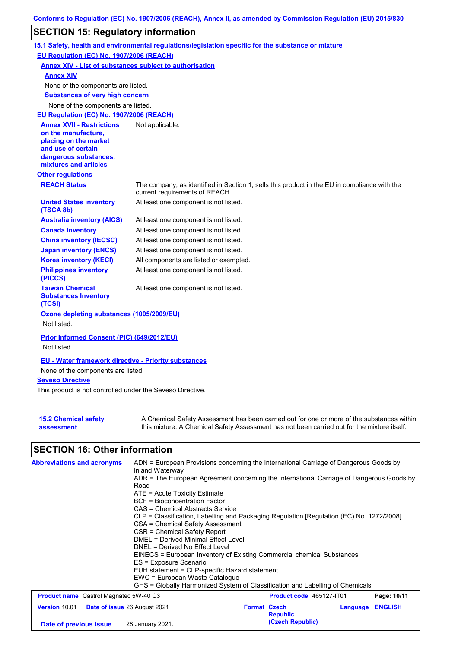# **SECTION 15: Regulatory information**

|                                                                                                                                                          | 15.1 Safety, health and environmental regulations/legislation specific for the substance or mixture                            |
|----------------------------------------------------------------------------------------------------------------------------------------------------------|--------------------------------------------------------------------------------------------------------------------------------|
| EU Regulation (EC) No. 1907/2006 (REACH)                                                                                                                 |                                                                                                                                |
| <b>Annex XIV - List of substances subject to authorisation</b>                                                                                           |                                                                                                                                |
| <b>Annex XIV</b>                                                                                                                                         |                                                                                                                                |
| None of the components are listed.                                                                                                                       |                                                                                                                                |
| <b>Substances of very high concern</b>                                                                                                                   |                                                                                                                                |
| None of the components are listed.                                                                                                                       |                                                                                                                                |
| EU Regulation (EC) No. 1907/2006 (REACH)                                                                                                                 |                                                                                                                                |
| <b>Annex XVII - Restrictions</b><br>on the manufacture,<br>placing on the market<br>and use of certain<br>dangerous substances,<br>mixtures and articles | Not applicable.                                                                                                                |
| <b>Other regulations</b>                                                                                                                                 |                                                                                                                                |
| <b>REACH Status</b>                                                                                                                                      | The company, as identified in Section 1, sells this product in the EU in compliance with the<br>current requirements of REACH. |
| <b>United States inventory</b><br>(TSCA 8b)                                                                                                              | At least one component is not listed.                                                                                          |
| <b>Australia inventory (AICS)</b>                                                                                                                        | At least one component is not listed.                                                                                          |
| <b>Canada inventory</b>                                                                                                                                  | At least one component is not listed.                                                                                          |
| <b>China inventory (IECSC)</b>                                                                                                                           | At least one component is not listed.                                                                                          |
| <b>Japan inventory (ENCS)</b>                                                                                                                            | At least one component is not listed.                                                                                          |
| <b>Korea inventory (KECI)</b>                                                                                                                            | All components are listed or exempted.                                                                                         |
| <b>Philippines inventory</b><br>(PICCS)                                                                                                                  | At least one component is not listed.                                                                                          |
| <b>Taiwan Chemical</b><br><b>Substances Inventory</b><br>(TCSI)                                                                                          | At least one component is not listed.                                                                                          |
| Ozone depleting substances (1005/2009/EU)                                                                                                                |                                                                                                                                |
| Not listed.                                                                                                                                              |                                                                                                                                |
| Prior Informed Consent (PIC) (649/2012/EU)<br>Not listed.                                                                                                |                                                                                                                                |
|                                                                                                                                                          |                                                                                                                                |
| <b>EU - Water framework directive - Priority substances</b>                                                                                              |                                                                                                                                |
| None of the components are listed.                                                                                                                       |                                                                                                                                |
| <b>Seveso Directive</b>                                                                                                                                  |                                                                                                                                |
| This product is not controlled under the Seveso Directive.                                                                                               |                                                                                                                                |

| <b>15.2 Chemical safety</b> | A Chemical Safety Assessment has been carried out for one or more of the substances within  |
|-----------------------------|---------------------------------------------------------------------------------------------|
| assessment                  | this mixture. A Chemical Safety Assessment has not been carried out for the mixture itself. |

# **SECTION 16: Other information**

| <b>Abbreviations and acronyms</b>                    | ADN = European Provisions concerning the International Carriage of Dangerous Goods by<br>Inland Waterway<br>ADR = The European Agreement concerning the International Carriage of Dangerous Goods by<br>Road<br>$ATE = Acute Toxicity Estimate$<br>BCF = Bioconcentration Factor<br>CAS = Chemical Abstracts Service<br>CLP = Classification, Labelling and Packaging Regulation [Regulation (EC) No. 1272/2008]<br>CSA = Chemical Safety Assessment<br>CSR = Chemical Safety Report<br>DMEL = Derived Minimal Effect Level<br>DNEL = Derived No Effect Level<br>EINECS = European Inventory of Existing Commercial chemical Substances<br>ES = Exposure Scenario<br>EUH statement = CLP-specific Hazard statement<br>EWC = European Waste Catalogue<br>GHS = Globally Harmonized System of Classification and Labelling of Chemicals |                     |                          |          |                |
|------------------------------------------------------|---------------------------------------------------------------------------------------------------------------------------------------------------------------------------------------------------------------------------------------------------------------------------------------------------------------------------------------------------------------------------------------------------------------------------------------------------------------------------------------------------------------------------------------------------------------------------------------------------------------------------------------------------------------------------------------------------------------------------------------------------------------------------------------------------------------------------------------|---------------------|--------------------------|----------|----------------|
| <b>Product name</b> Castrol Magnatec 5W-40 C3        |                                                                                                                                                                                                                                                                                                                                                                                                                                                                                                                                                                                                                                                                                                                                                                                                                                       |                     | Product code 465127-IT01 |          | Page: 10/11    |
| Version 10.01<br><b>Date of issue 26 August 2021</b> |                                                                                                                                                                                                                                                                                                                                                                                                                                                                                                                                                                                                                                                                                                                                                                                                                                       | <b>Format Czech</b> | <b>Republic</b>          | Language | <b>ENGLISH</b> |
| Date of previous issue                               | 28 January 2021.                                                                                                                                                                                                                                                                                                                                                                                                                                                                                                                                                                                                                                                                                                                                                                                                                      |                     | (Czech Republic)         |          |                |